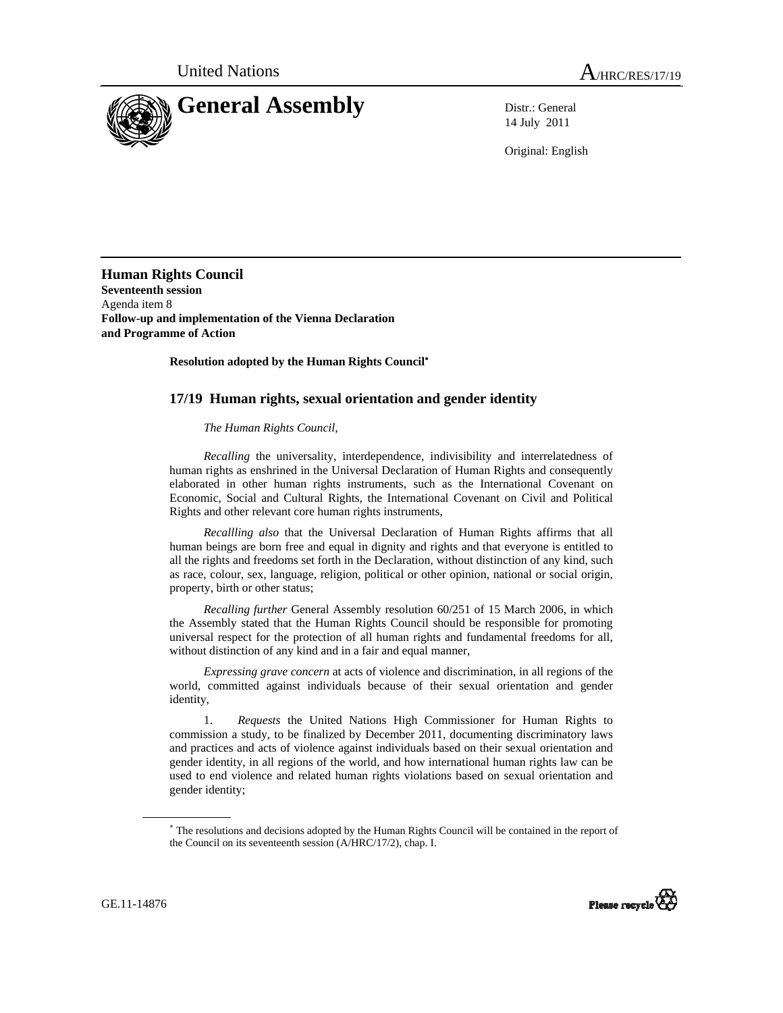

14 July 2011

Original: English

**Human Rights Council Seventeenth session**  Agenda item 8 **Follow-up and implementation of the Vienna Declaration and Programme of Action** 

 **Resolution adopted by the Human Rights Council**<sup>∗</sup>

## **17/19 Human rights, sexual orientation and gender identity**

## *The Human Rights Council*,

*Recalling* the universality, interdependence, indivisibility and interrelatedness of human rights as enshrined in the Universal Declaration of Human Rights and consequently elaborated in other human rights instruments, such as the International Covenant on Economic, Social and Cultural Rights, the International Covenant on Civil and Political Rights and other relevant core human rights instruments,

 *Recallling also* that the Universal Declaration of Human Rights affirms that all human beings are born free and equal in dignity and rights and that everyone is entitled to all the rights and freedoms set forth in the Declaration, without distinction of any kind, such as race, colour, sex, language, religion, political or other opinion, national or social origin, property, birth or other status;

 *Recalling further* General Assembly resolution 60/251 of 15 March 2006, in which the Assembly stated that the Human Rights Council should be responsible for promoting universal respect for the protection of all human rights and fundamental freedoms for all, without distinction of any kind and in a fair and equal manner,

 *Expressing grave concern* at acts of violence and discrimination, in all regions of the world, committed against individuals because of their sexual orientation and gender identity,

1. *Requests* the United Nations High Commissioner for Human Rights to commission a study, to be finalized by December 2011, documenting discriminatory laws and practices and acts of violence against individuals based on their sexual orientation and gender identity, in all regions of the world, and how international human rights law can be used to end violence and related human rights violations based on sexual orientation and gender identity;

<sup>∗</sup> The resolutions and decisions adopted by the Human Rights Council will be contained in the report of the Council on its seventeenth session (A/HRC/17/2), chap. I.